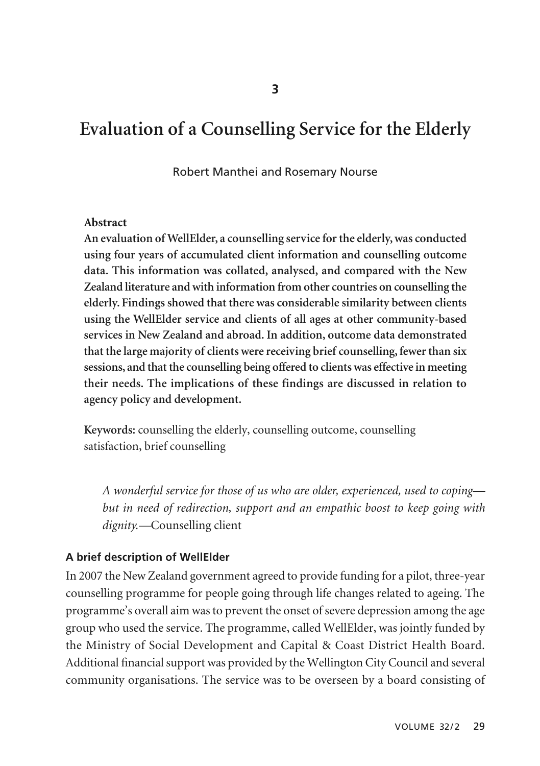# **Evaluation of a Counselling Service for the Elderly**

#### Robert Manthei and Rosemary Nourse

#### **Abstract**

**An evaluation of WellElder, a counselling service for the elderly, was conducted using four years of accumulated client information and counselling outcome data. This information was collated, analysed, and compared with the New Zealand literature and with information from other countries on counselling the elderly. Findings showed that there was considerable similarity between clients using the WellElder service and clients of all ages at other community-based services in New Zealand and abroad. In addition, outcome data demonstrated that the large majority of clients were receiving brief counselling, fewer than six sessions, and that the counselling being offered to clients was effective in meeting their needs. The implications of these findings are discussed in relation to agency policy and development.**

**Keywords:** counselling the elderly, counselling outcome, counselling satisfaction, brief counselling

*A wonderful service for those of us who are older, experienced, used to coping but in need of redirection, support and an empathic boost to keep going with dignity.—*Counselling client

#### **A brief description of WellElder**

In 2007 the New Zealand government agreed to provide funding for a pilot, three-year counselling programme for people going through life changes related to ageing. The programme's overall aim was to prevent the onset of severe depression among the age group who used the service. The programme, called WellElder, was jointly funded by the Ministry of Social Development and Capital & Coast District Health Board. Additional financial support was provided by the Wellington City Council and several community organisations. The service was to be overseen by a board consisting of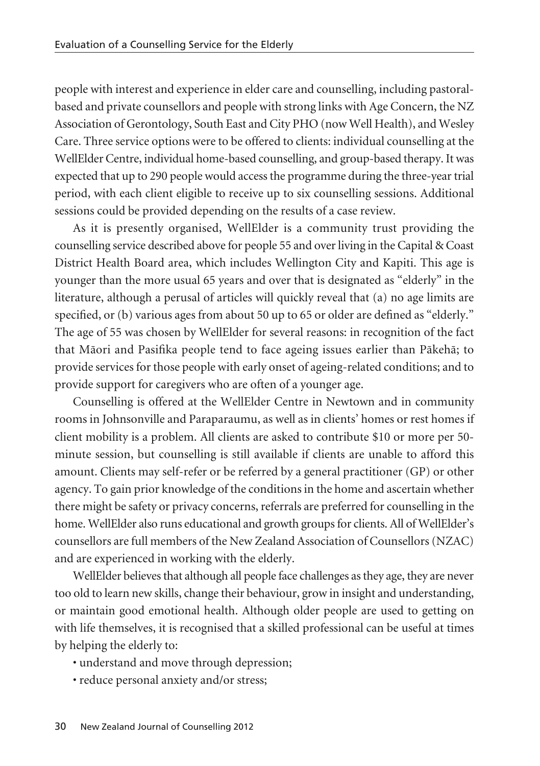people with interest and experience in elder care and counselling, including pastoralbased and private counsellors and people with strong links with Age Concern, the NZ Association of Gerontology, South East and City PHO (now Well Health), and Wesley Care. Three service options were to be offered to clients: individual counselling at the WellElder Centre, individual home-based counselling, and group-based therapy. It was expected that up to 290 people would access the programme during the three-year trial period, with each client eligible to receive up to six counselling sessions. Additional sessions could be provided depending on the results of a case review.

As it is presently organised, WellElder is a community trust providing the counselling service described above for people 55 and over living in the Capital & Coast District Health Board area, which includes Wellington City and Kapiti. This age is younger than the more usual 65 years and over that is designated as "elderly" in the literature, although a perusal of articles will quickly reveal that (a) no age limits are specified, or (b) various ages from about 50 up to 65 or older are defined as "elderly." The age of 55 was chosen by WellElder for several reasons: in recognition of the fact that Mäori and Pasifika people tend to face ageing issues earlier than Päkehä; to provide services for those people with early onset of ageing-related conditions; and to provide support for caregivers who are often of a younger age.

Counselling is offered at the WellElder Centre in Newtown and in community rooms in Johnsonville and Paraparaumu, as well as in clients' homes or rest homes if client mobility is a problem. All clients are asked to contribute \$10 or more per 50 minute session, but counselling is still available if clients are unable to afford this amount. Clients may self-refer or be referred by a general practitioner (GP) or other agency. To gain prior knowledge of the conditions in the home and ascertain whether there might be safety or privacy concerns, referrals are preferred for counselling in the home. WellElder also runs educational and growth groups for clients. All of WellElder's counsellors are full members of the New Zealand Association of Counsellors (NZAC) and are experienced in working with the elderly.

WellElder believes that although all people face challenges as they age, they are never too old to learn new skills, change their behaviour, grow in insight and understanding, or maintain good emotional health. Although older people are used to getting on with life themselves, it is recognised that a skilled professional can be useful at times by helping the elderly to:

- understand and move through depression;
- reduce personal anxiety and/or stress;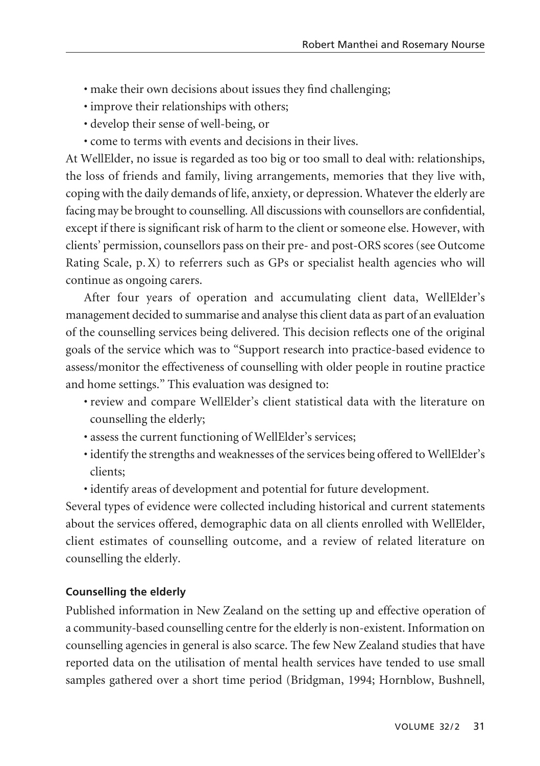- make their own decisions about issues they find challenging;
- improve their relationships with others;
- develop their sense of well-being, or
- come to terms with events and decisions in their lives.

At WellElder, no issue is regarded as too big or too small to deal with: relationships, the loss of friends and family, living arrangements, memories that they live with, coping with the daily demands of life, anxiety, or depression. Whatever the elderly are facing may be brought to counselling. All discussions with counsellors are confidential, except if there is significant risk of harm to the client or someone else. However, with clients' permission, counsellors pass on their pre- and post-ORS scores (see Outcome Rating Scale, p. X) to referrers such as GPs or specialist health agencies who will continue as ongoing carers.

After four years of operation and accumulating client data, WellElder's management decided to summarise and analyse this client data as part of an evaluation of the counselling services being delivered. This decision reflects one of the original goals of the service which was to "Support research into practice-based evidence to assess/monitor the effectiveness of counselling with older people in routine practice and home settings." This evaluation was designed to:

- review and compare WellElder's client statistical data with the literature on counselling the elderly;
- assess the current functioning of WellElder's services;
- identify the strengths and weaknesses of the services being offered to WellElder's clients;
- identify areas of development and potential for future development.

Several types of evidence were collected including historical and current statements about the services offered, demographic data on all clients enrolled with WellElder, client estimates of counselling outcome, and a review of related literature on counselling the elderly.

# **Counselling the elderly**

Published information in New Zealand on the setting up and effective operation of a community-based counselling centre for the elderly is non-existent. Information on counselling agencies in general is also scarce. The few New Zealand studies that have reported data on the utilisation of mental health services have tended to use small samples gathered over a short time period (Bridgman, 1994; Hornblow, Bushnell,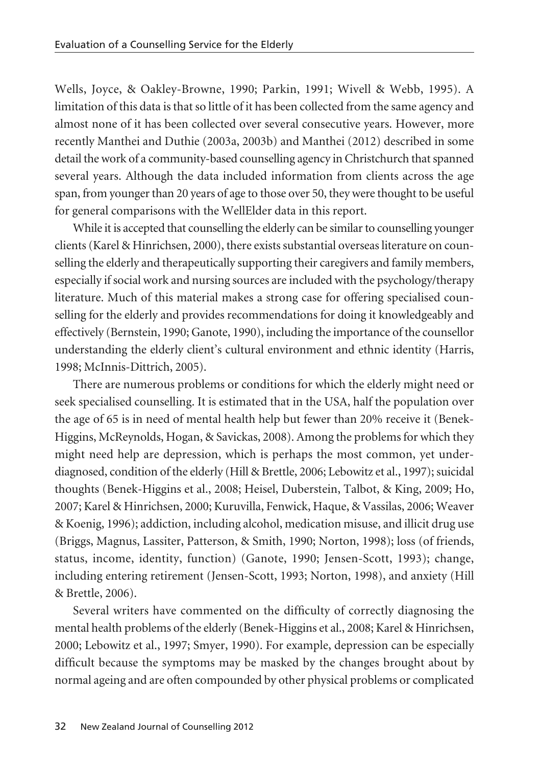Wells, Joyce, & Oakley-Browne, 1990; Parkin, 1991; Wivell & Webb, 1995). A limitation of this data is that so little of it has been collected from the same agency and almost none of it has been collected over several consecutive years. However, more recently Manthei and Duthie (2003a, 2003b) and Manthei (2012) described in some detail the work of a community-based counselling agency in Christchurch that spanned several years. Although the data included information from clients across the age span, from younger than 20 years of age to those over 50, they were thought to be useful for general comparisons with the WellElder data in this report.

While it is accepted that counselling the elderly can be similar to counselling younger clients (Karel & Hinrichsen, 2000), there exists substantial overseas literature on counselling the elderly and therapeutically supporting their caregivers and family members, especially if social work and nursing sources are included with the psychology/therapy literature. Much of this material makes a strong case for offering specialised counselling for the elderly and provides recommendations for doing it knowledgeably and effectively (Bernstein, 1990; Ganote, 1990), including the importance of the counsellor understanding the elderly client's cultural environment and ethnic identity (Harris, 1998; McInnis-Dittrich, 2005).

There are numerous problems or conditions for which the elderly might need or seek specialised counselling. It is estimated that in the USA, half the population over the age of 65 is in need of mental health help but fewer than 20% receive it (Benek-Higgins, McReynolds, Hogan, & Savickas, 2008). Among the problems for which they might need help are depression, which is perhaps the most common, yet underdiagnosed, condition of the elderly (Hill & Brettle, 2006; Lebowitz et al., 1997); suicidal thoughts (Benek-Higgins et al., 2008; Heisel, Duberstein, Talbot, & King, 2009; Ho, 2007; Karel & Hinrichsen, 2000; Kuruvilla, Fenwick, Haque, & Vassilas, 2006; Weaver & Koenig, 1996); addiction, including alcohol, medication misuse, and illicit drug use (Briggs, Magnus, Lassiter, Patterson, & Smith, 1990; Norton, 1998); loss (of friends, status, income, identity, function) (Ganote, 1990; Jensen-Scott, 1993); change, including entering retirement (Jensen-Scott, 1993; Norton, 1998), and anxiety (Hill & Brettle, 2006).

Several writers have commented on the difficulty of correctly diagnosing the mental health problems of the elderly (Benek-Higgins et al., 2008; Karel & Hinrichsen, 2000; Lebowitz et al., 1997; Smyer, 1990). For example, depression can be especially difficult because the symptoms may be masked by the changes brought about by normal ageing and are often compounded by other physical problems or complicated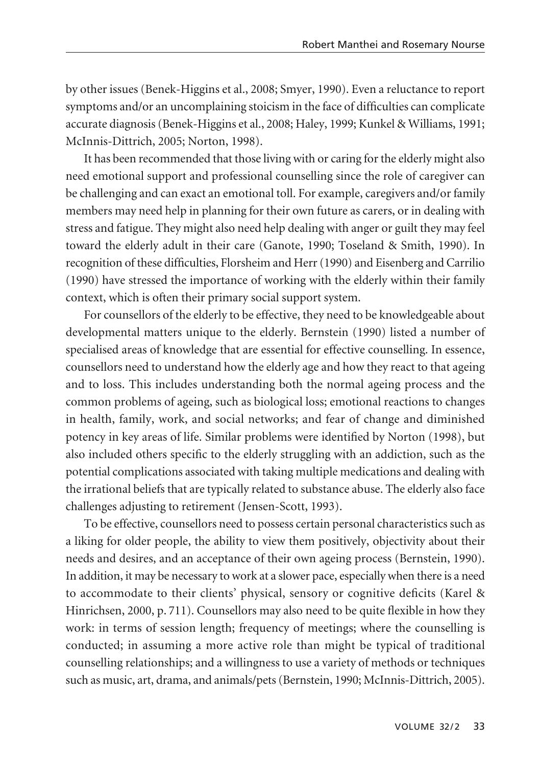by other issues (Benek-Higgins et al., 2008; Smyer, 1990). Even a reluctance to report symptoms and/or an uncomplaining stoicism in the face of difficulties can complicate accurate diagnosis (Benek-Higgins et al., 2008; Haley, 1999; Kunkel & Williams, 1991; McInnis-Dittrich, 2005; Norton, 1998).

It has been recommended that those living with or caring for the elderly might also need emotional support and professional counselling since the role of caregiver can be challenging and can exact an emotional toll. For example, caregivers and/or family members may need help in planning for their own future as carers, or in dealing with stress and fatigue. They might also need help dealing with anger or guilt they may feel toward the elderly adult in their care (Ganote, 1990; Toseland & Smith, 1990). In recognition of these difficulties, Florsheim and Herr (1990) and Eisenberg and Carrilio (1990) have stressed the importance of working with the elderly within their family context, which is often their primary social support system.

For counsellors of the elderly to be effective, they need to be knowledgeable about developmental matters unique to the elderly. Bernstein (1990) listed a number of specialised areas of knowledge that are essential for effective counselling. In essence, counsellors need to understand how the elderly age and how they react to that ageing and to loss. This includes understanding both the normal ageing process and the common problems of ageing, such as biological loss; emotional reactions to changes in health, family, work, and social networks; and fear of change and diminished potency in key areas of life. Similar problems were identified by Norton (1998), but also included others specific to the elderly struggling with an addiction, such as the potential complications associated with taking multiple medications and dealing with the irrational beliefs that are typically related to substance abuse. The elderly also face challenges adjusting to retirement (Jensen-Scott, 1993).

To be effective, counsellors need to possess certain personal characteristics such as a liking for older people, the ability to view them positively, objectivity about their needs and desires, and an acceptance of their own ageing process (Bernstein, 1990). In addition, it may be necessary to work at a slower pace, especially when there is a need to accommodate to their clients' physical, sensory or cognitive deficits (Karel & Hinrichsen, 2000, p. 711). Counsellors may also need to be quite flexible in how they work: in terms of session length; frequency of meetings; where the counselling is conducted; in assuming a more active role than might be typical of traditional counselling relationships; and a willingness to use a variety of methods or techniques such as music, art, drama, and animals/pets (Bernstein, 1990; McInnis-Dittrich, 2005).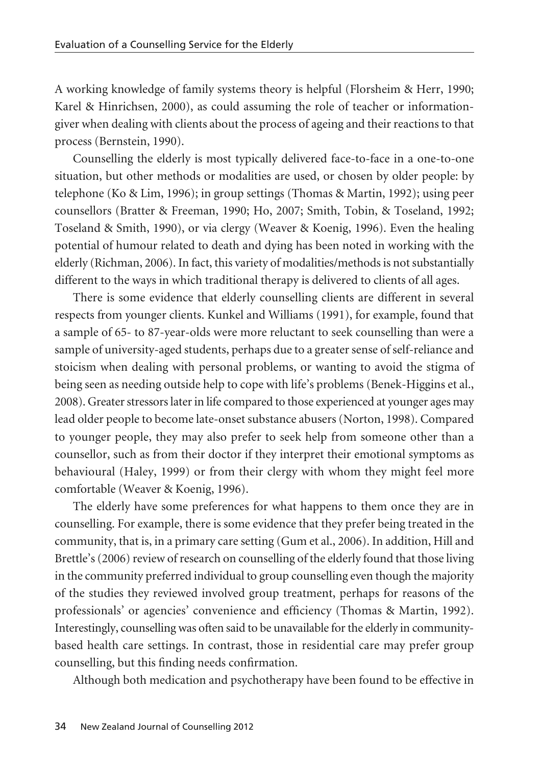A working knowledge of family systems theory is helpful (Florsheim & Herr, 1990; Karel & Hinrichsen, 2000), as could assuming the role of teacher or informationgiver when dealing with clients about the process of ageing and their reactions to that process (Bernstein, 1990).

Counselling the elderly is most typically delivered face-to-face in a one-to-one situation, but other methods or modalities are used, or chosen by older people: by telephone (Ko & Lim, 1996); in group settings (Thomas & Martin, 1992); using peer counsellors (Bratter & Freeman, 1990; Ho, 2007; Smith, Tobin, & Toseland, 1992; Toseland & Smith, 1990), or via clergy (Weaver & Koenig, 1996). Even the healing potential of humour related to death and dying has been noted in working with the elderly (Richman, 2006). In fact, this variety of modalities/methods is not substantially different to the ways in which traditional therapy is delivered to clients of all ages.

There is some evidence that elderly counselling clients are different in several respects from younger clients. Kunkel and Williams (1991), for example, found that a sample of 65- to 87-year-olds were more reluctant to seek counselling than were a sample of university-aged students, perhaps due to a greater sense of self-reliance and stoicism when dealing with personal problems, or wanting to avoid the stigma of being seen as needing outside help to cope with life's problems (Benek-Higgins et al., 2008). Greater stressors later in life compared to those experienced at younger ages may lead older people to become late-onset substance abusers (Norton, 1998). Compared to younger people, they may also prefer to seek help from someone other than a counsellor, such as from their doctor if they interpret their emotional symptoms as behavioural (Haley, 1999) or from their clergy with whom they might feel more comfortable (Weaver & Koenig, 1996).

The elderly have some preferences for what happens to them once they are in counselling. For example, there is some evidence that they prefer being treated in the community, that is, in a primary care setting (Gum et al., 2006). In addition, Hill and Brettle's (2006) review of research on counselling of the elderly found that those living in the community preferred individual to group counselling even though the majority of the studies they reviewed involved group treatment, perhaps for reasons of the professionals' or agencies' convenience and efficiency (Thomas & Martin, 1992). Interestingly, counselling was often said to be unavailable for the elderly in communitybased health care settings. In contrast, those in residential care may prefer group counselling, but this finding needs confirmation.

Although both medication and psychotherapy have been found to be effective in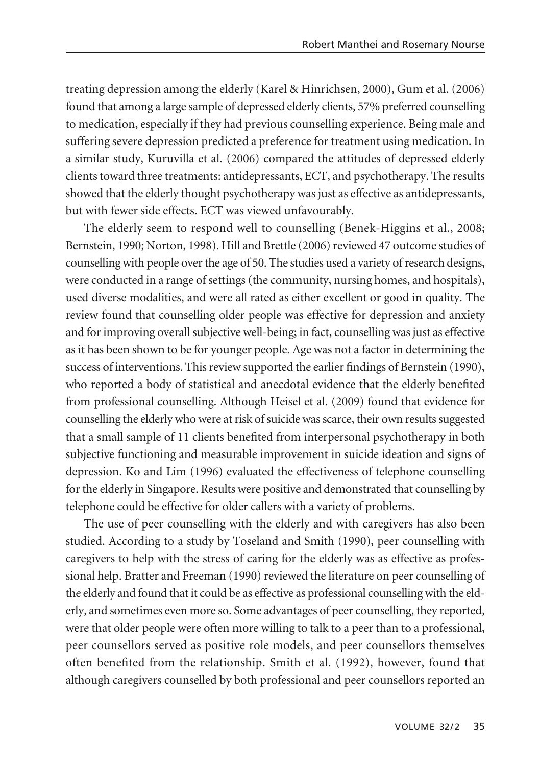treating depression among the elderly (Karel & Hinrichsen, 2000), Gum et al. (2006) found that among a large sample of depressed elderly clients, 57% preferred counselling to medication, especially if they had previous counselling experience. Being male and suffering severe depression predicted a preference for treatment using medication. In a similar study, Kuruvilla et al. (2006) compared the attitudes of depressed elderly clients toward three treatments: antidepressants, ECT, and psychotherapy. The results showed that the elderly thought psychotherapy was just as effective as antidepressants, but with fewer side effects. ECT was viewed unfavourably.

The elderly seem to respond well to counselling (Benek-Higgins et al., 2008; Bernstein, 1990; Norton, 1998). Hill and Brettle (2006) reviewed 47 outcome studies of counselling with people over the age of 50. The studies used a variety of research designs, were conducted in a range of settings (the community, nursing homes, and hospitals), used diverse modalities, and were all rated as either excellent or good in quality. The review found that counselling older people was effective for depression and anxiety and for improving overall subjective well-being; in fact, counselling was just as effective as it has been shown to be for younger people. Age was not a factor in determining the success of interventions. This review supported the earlier findings of Bernstein (1990), who reported a body of statistical and anecdotal evidence that the elderly benefited from professional counselling. Although Heisel et al. (2009) found that evidence for counselling the elderly who were at risk of suicide was scarce, their own results suggested that a small sample of 11 clients benefited from interpersonal psychotherapy in both subjective functioning and measurable improvement in suicide ideation and signs of depression. Ko and Lim (1996) evaluated the effectiveness of telephone counselling for the elderly in Singapore. Results were positive and demonstrated that counselling by telephone could be effective for older callers with a variety of problems.

The use of peer counselling with the elderly and with caregivers has also been studied. According to a study by Toseland and Smith (1990), peer counselling with caregivers to help with the stress of caring for the elderly was as effective as professional help. Bratter and Freeman (1990) reviewed the literature on peer counselling of the elderly and found that it could be as effective as professional counselling with the elderly, and sometimes even more so. Some advantages of peer counselling, they reported, were that older people were often more willing to talk to a peer than to a professional, peer counsellors served as positive role models, and peer counsellors themselves often benefited from the relationship. Smith et al. (1992), however, found that although caregivers counselled by both professional and peer counsellors reported an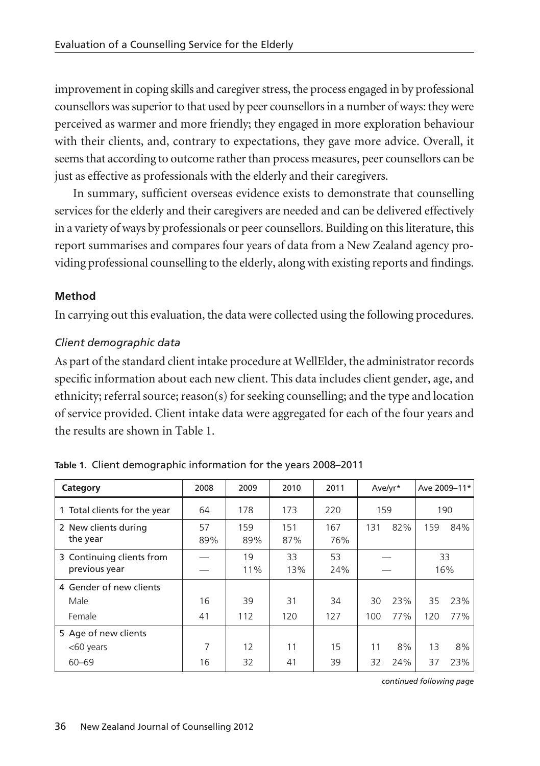improvement in coping skills and caregiver stress, the process engaged in by professional counsellors was superior to that used by peer counsellors in a number of ways: they were perceived as warmer and more friendly; they engaged in more exploration behaviour with their clients, and, contrary to expectations, they gave more advice. Overall, it seems that according to outcome rather than process measures, peer counsellors can be just as effective as professionals with the elderly and their caregivers.

In summary, sufficient overseas evidence exists to demonstrate that counselling services for the elderly and their caregivers are needed and can be delivered effectively in a variety of ways by professionals or peer counsellors. Building on this literature, this report summarises and compares four years of data from a New Zealand agency providing professional counselling to the elderly, along with existing reports and findings.

# **Method**

In carrying out this evaluation, the data were collected using the following procedures.

### *Client demographic data*

As part of the standard client intake procedure at WellElder, the administrator records specific information about each new client. This data includes client gender, age, and ethnicity; referral source; reason(s) for seeking counselling; and the type and location of service provided. Client intake data were aggregated for each of the four years and the results are shown in Table 1.

| Category                                   | 2008      | 2009       | 2010       | 2011       | Ave/yr* |     | Ave 2009-11* |     |
|--------------------------------------------|-----------|------------|------------|------------|---------|-----|--------------|-----|
| 1 Total clients for the year               | 64        | 178        | 173        | 220        | 159     |     | 190          |     |
| 2 New clients during<br>the year           | 57<br>89% | 159<br>89% | 151<br>87% | 167<br>76% | 131     | 82% | 159          | 84% |
| 3 Continuing clients from<br>previous year |           | 19<br>11%  | 33<br>13%  | 53<br>24%  |         |     | 33<br>16%    |     |
| 4 Gender of new clients                    |           |            |            |            |         |     |              |     |
| Male                                       | 16        | 39         | 31         | 34         | 30      | 23% | 35           | 23% |
| Female                                     | 41        | 112        | 120        | 127        | 100     | 77% | 120          | 77% |
| 5 Age of new clients                       |           |            |            |            |         |     |              |     |
| <60 years                                  | 7         | 12         | 11         | 15         | 11      | 8%  | 13           | 8%  |
| $60 - 69$                                  | 16        | 32         | 41         | 39         | 32      | 24% | 37           | 23% |

*continued following page*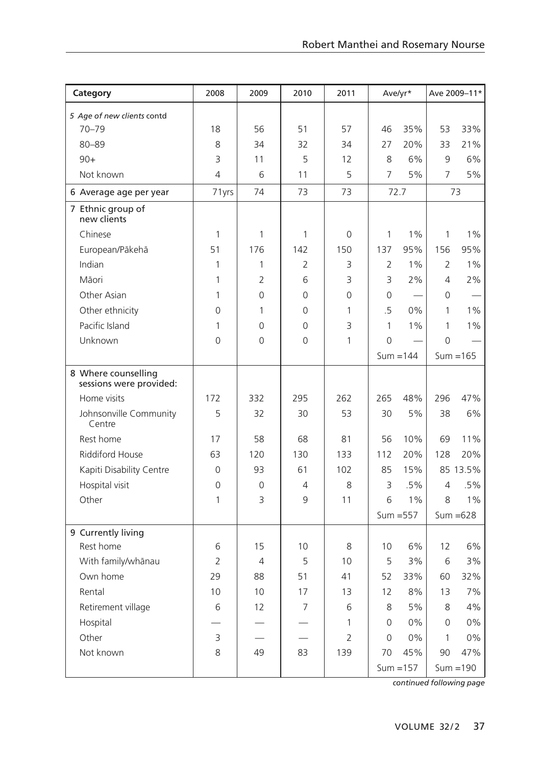| Category                                       | 2008           | 2009           | 2010           | 2011           | Ave/yr*        |             | Ave 2009-11*   |             |
|------------------------------------------------|----------------|----------------|----------------|----------------|----------------|-------------|----------------|-------------|
| 5 Age of new clients contd                     |                |                |                |                |                |             |                |             |
| $70 - 79$                                      | 18             | 56             | 51             | 57             | 46             | 35%         | 53             | 33%         |
| 80-89                                          | 8              | 34             | 32             | 34             | 27             | 20%         | 33             | 21%         |
| $90+$                                          | 3              | 11             | 5              | 12             | 8              | 6%          | $\mathsf{Q}$   | 6%          |
| Not known                                      | $\overline{4}$ | 6              | 11             | 5              | $\overline{7}$ | 5%          | $\overline{7}$ | 5%          |
| 6 Average age per year                         | 71yrs          | 74             | 73             | 73             |                | 72.7        |                | 73          |
| 7 Ethnic group of<br>new clients               |                |                |                |                |                |             |                |             |
| Chinese                                        | $\mathbf{1}$   | 1              | $\mathbf{1}$   | 0              | 1              | 1%          | 1              | 1%          |
| European/Pākehā                                | 51             | 176            | 142            | 150            | 137            | 95%         | 156            | 95%         |
| Indian                                         | 1              | 1              | $\overline{2}$ | 3              | $\overline{2}$ | 1%          | $\overline{2}$ | 1%          |
| Māori                                          | 1              | $\overline{2}$ | 6              | 3              | 3              | 2%          | $\overline{4}$ | 2%          |
| Other Asian                                    | 1              | $\Omega$       | $\mathbf 0$    | 0              | 0              |             | 0              |             |
| Other ethnicity                                | $\Omega$       | $\mathbf{1}$   | $\Omega$       | 1              | $\overline{5}$ | 0%          | 1              | 1%          |
| Pacific Island                                 | $\mathbf{1}$   | $\Omega$       | $\Omega$       | 3              | $\mathbf{1}$   | 1%          | $\mathbf{1}$   | 1%          |
| Unknown                                        | $\Omega$       | $\Omega$       | $\Omega$       | 1              | $\Omega$       |             | $\Omega$       |             |
|                                                |                |                |                |                |                | $Sum = 144$ |                | $Sum = 165$ |
| 8 Where counselling<br>sessions were provided: |                |                |                |                |                |             |                |             |
| Home visits                                    | 172            | 332            | 295            | 262            | 265            | 48%         | 296            | 47%         |
| Johnsonville Community<br>Centre               | 5              | 32             | 30             | 53             | 30             | 5%          | 38             | 6%          |
| Rest home                                      | 17             | 58             | 68             | 81             | 56             | 10%         | 69             | 11%         |
| <b>Riddiford House</b>                         | 63             | 120            | 130            | 133            | 112            | 20%         | 128            | 20%         |
| Kapiti Disability Centre                       | $\Omega$       | 93             | 61             | 102            | 85             | 15%         |                | 85 13.5%    |
| Hospital visit                                 | $\Omega$       | $\Omega$       | 4              | 8              | 3              | .5%         | 4              | $.5\%$      |
| Other                                          | 1              | 3              | 9              | 11             | 6              | 1%          | 8              | 1%          |
|                                                |                |                |                |                |                | $Sum = 557$ |                | $Sum = 628$ |
| 9 Currently living                             |                |                |                |                |                |             |                |             |
| Rest home                                      | 6              | 15             | 10             | 8              | 10             | 6%          | 12             | 6%          |
| With family/whānau                             | $\overline{2}$ | $\overline{4}$ | 5              | 10             | 5              | 3%          | 6              | 3%          |
| Own home                                       | 29             | 88             | 51             | 41             | 52             | 33%         | 60             | 32%         |
| Rental                                         | 10             | 10             | 17             | 13             | 12             | 8%          | 13             | 7%          |
| Retirement village                             | 6              | 12             | $\overline{7}$ | 6              | 8              | 5%          | 8              | 4%          |
| Hospital                                       |                |                |                | 1              | $\Omega$       | 0%          | $\Omega$       | 0%          |
| Other                                          | 3              |                |                | $\overline{2}$ | $\Omega$       | 0%          | 1              | 0%          |
| Not known                                      | 8              | 49             | 83             | 139            | 70             | 45%         | 90             | 47%         |
|                                                |                |                |                |                |                | $Sum = 157$ |                | $Sum = 190$ |

*continued following page*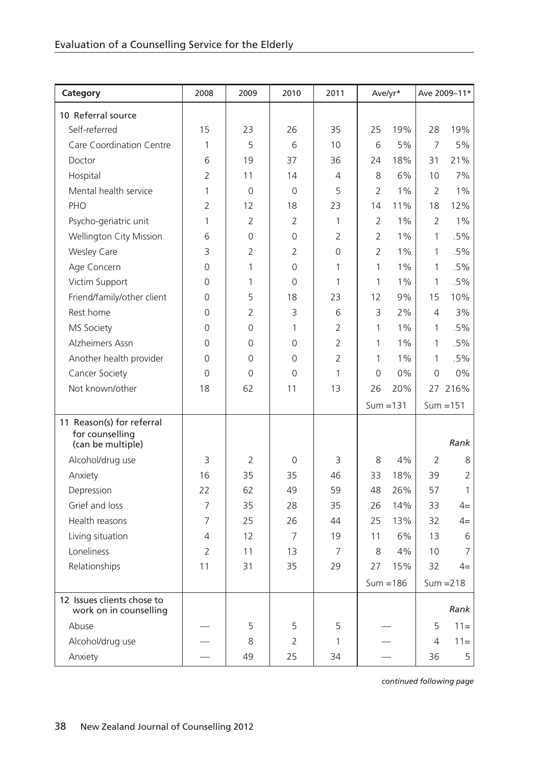| Category                                                          | 2008           | 2009           | 2010           | 2011           | Ave/yr*        |             |                | Ave 2009-11*   |  |
|-------------------------------------------------------------------|----------------|----------------|----------------|----------------|----------------|-------------|----------------|----------------|--|
| 10 Referral source                                                |                |                |                |                |                |             |                |                |  |
| Self-referred                                                     | 15             | 23             | 26             | 35             | 25             | 19%         | 28             | 19%            |  |
| Care Coordination Centre                                          | 1              | 5              | 6              | 10             | 6              | 5%          | $\overline{7}$ | 5%             |  |
| Doctor                                                            | 6              | 19             | 37             | 36             | 74             | 18%         | 31             | 21%            |  |
| Hospital                                                          | $\overline{2}$ | 11             | 14             | 4              | 8              | 6%          | 10             | 7%             |  |
| Mental health service                                             | $\mathbf{1}$   | $\mathbf 0$    | $\mathbf 0$    | 5              | $\overline{2}$ | 1%          | $\overline{2}$ | $1\%$          |  |
| PHO                                                               | $\overline{2}$ | 12             | 18             | 23             | 14             | 11%         | 18             | 12%            |  |
| Psycho-geriatric unit                                             | $\mathbf{1}$   | $\overline{2}$ | $\overline{2}$ | 1              | $\overline{2}$ | $1\%$       | $\overline{2}$ | 1%             |  |
| Wellington City Mission                                           | 6              | $\Omega$       | $\Omega$       | $\overline{2}$ | $\overline{2}$ | $1\%$       | 1              | .5%            |  |
| Wesley Care                                                       | 3              | 2              | 2              | 0              | $\overline{2}$ | $1\%$       | 1              | .5%            |  |
| Age Concern                                                       | $\Omega$       | $\mathbf{1}$   | $\Omega$       | 1              | $\mathbf{1}$   | $1\%$       | 1              | .5%            |  |
| Victim Support                                                    | $\Omega$       | 1              | $\Omega$       | 1              | 1              | $1\%$       | 1              | .5%            |  |
| Friend/family/other client                                        | $\Omega$       | 5              | 18             | 23             | 12             | 9%          | 15             | 10%            |  |
| Rest home                                                         | $\Omega$       | 2              | 3              | 6              | 3              | 2%          | $\overline{4}$ | 3%             |  |
| MS Society                                                        | $\Omega$       | $\Omega$       | 1              | $\overline{2}$ | $\mathbf{1}$   | 1%          | 1              | $.5\%$         |  |
| Alzheimers Assn                                                   | $\Omega$       | 0              | $\Omega$       | $\overline{2}$ | 1              | $1\%$       | 1              | .5%            |  |
| Another health provider                                           | $\Omega$       | $\Omega$       | 0              | $\overline{2}$ | $\mathbf{1}$   | $1\%$       | 1              | .5%            |  |
| Cancer Society                                                    | $\Omega$       | 0              | $\Omega$       | 1              | 0              | 0%          | $\Omega$       | 0%             |  |
| Not known/other                                                   | 18             | 62             | 11             | 13             | 26             | 20%         |                | 27 216%        |  |
|                                                                   |                |                |                |                |                | $Sum = 131$ |                | $Sum = 151$    |  |
| 11 Reason(s) for referral<br>for counselling<br>(can be multiple) |                |                |                |                |                |             |                | Rank           |  |
| Alcohol/drug use                                                  | 3              | $\overline{2}$ | 0              | 3              | 8              | 4%          | $\overline{2}$ | 8              |  |
| Anxiety                                                           | 16             | 35             | 35             | 46             | 33             | 18%         | 39             | $\overline{2}$ |  |
| Depression                                                        | 22             | 62             | 49             | 59             | 48             | 26%         | 57             | $\mathbf{1}$   |  |
| Grief and loss                                                    | 7              | 35             | 28             | 35             | 26             | 14%         | 33             | $4=$           |  |
| Health reasons                                                    | $\overline{7}$ | 25             | 26             | 44             | 25             | 13%         | 32             | $4=$           |  |
| Living situation                                                  | 4              | 12             | 7              | 19             | 11             | 6%          | 13             | 6              |  |
| Loneliness                                                        | $\overline{2}$ | 11             | 13             | $\overline{7}$ | 8              | 4%          | 10             | $\overline{7}$ |  |
| Relationships                                                     | 11             | 31             | 35             | 29             | 27             | 15%         | 32             | $4=$           |  |
|                                                                   |                |                |                |                |                | $Sum = 186$ |                | $Sum = 218$    |  |
| 12 Issues clients chose to<br>work on in counselling              |                |                |                |                |                |             |                | Rank           |  |
| Abuse                                                             |                | 5              | 5              | 5              |                |             | 5              | $11 =$         |  |
| Alcohol/drug use                                                  |                | 8              | $\overline{2}$ | 1              |                |             | $\overline{4}$ | $11 =$         |  |
| Anxiety                                                           |                | 49             | 25             | 34             |                |             | 36             | 5              |  |

*continued following page*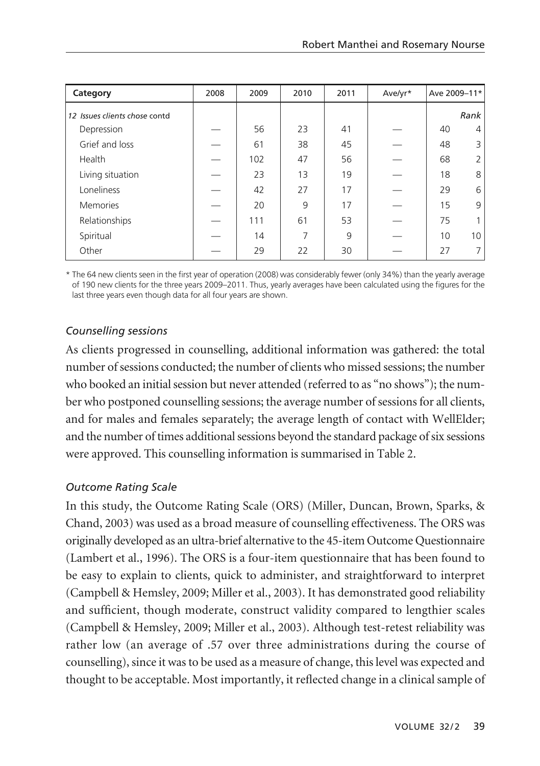| Category                      | 2008 | 2009 | 2010 | 2011 | Ave/yr* | Ave 2009-11* |                |
|-------------------------------|------|------|------|------|---------|--------------|----------------|
| 12 Issues clients chose contd |      |      |      |      |         |              | Rank           |
| Depression                    |      | 56   | 23   | 41   |         | 40           | 4              |
| Grief and loss                |      | 61   | 38   | 45   |         | 48           | 3              |
| Health                        |      | 102  | 47   | 56   |         | 68           | $\overline{2}$ |
| Living situation              |      | 23   | 13   | 19   |         | 18           | 8              |
| Loneliness                    |      | 42   | 27   | 17   |         | 29           | 6              |
| <b>Memories</b>               |      | 20   | 9    | 17   |         | 15           | 9              |
| Relationships                 |      | 111  | 61   | 53   |         | 75           |                |
| Spiritual                     |      | 14   | 7    | 9    |         | 10           | 10             |
| Other                         |      | 29   | 22   | 30   |         | 27           |                |

\* The 64 new clients seen in the first year of operation (2008) was considerably fewer (only 34%) than the yearly average of 190 new clients for the three years 2009–2011. Thus, yearly averages have been calculated using the figures for the last three years even though data for all four years are shown.

# *Counselling sessions*

As clients progressed in counselling, additional information was gathered: the total number of sessions conducted; the number of clients who missed sessions; the number who booked an initial session but never attended (referred to as "no shows"); the number who postponed counselling sessions; the average number of sessions for all clients, and for males and females separately; the average length of contact with WellElder; and the number of times additional sessions beyond the standard package of six sessions were approved. This counselling information is summarised in Table 2.

# *Outcome Rating Scale*

In this study, the Outcome Rating Scale (ORS) (Miller, Duncan, Brown, Sparks, & Chand, 2003) was used as a broad measure of counselling effectiveness. The ORS was originally developed as an ultra-brief alternative to the 45-item Outcome Questionnaire (Lambert et al., 1996). The ORS is a four-item questionnaire that has been found to be easy to explain to clients, quick to administer, and straightforward to interpret (Campbell & Hemsley, 2009; Miller et al., 2003). It has demonstrated good reliability and sufficient, though moderate, construct validity compared to lengthier scales (Campbell & Hemsley, 2009; Miller et al., 2003). Although test-retest reliability was rather low (an average of .57 over three administrations during the course of counselling), since it was to be used as a measure of change, this level was expected and thought to be acceptable. Most importantly, it reflected change in a clinical sample of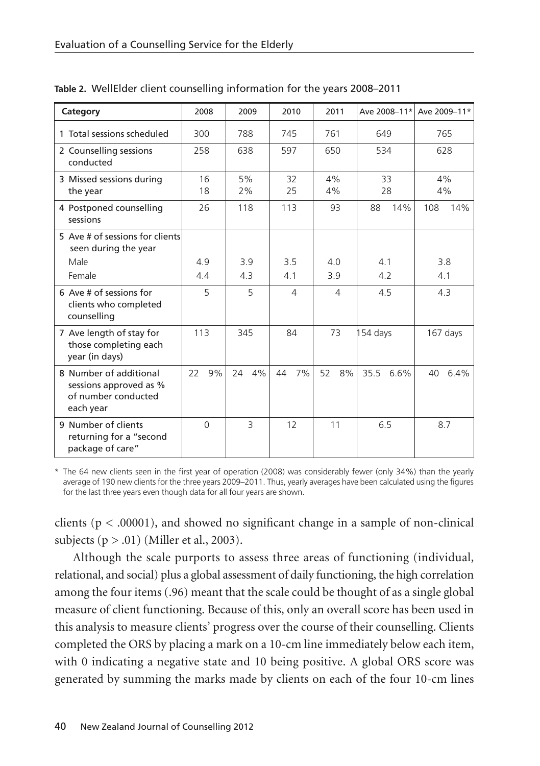| Category                                                                             | 2008     | 2009         | 2010     | 2011     |              | Ave 2008-11* Ave 2009-11* |  |
|--------------------------------------------------------------------------------------|----------|--------------|----------|----------|--------------|---------------------------|--|
| 1 Total sessions scheduled                                                           | 300      | 788          | 745      | 761      | 649          | 765                       |  |
| 2 Counselling sessions<br>conducted                                                  | 258      | 638          | 597      | 650      | 534          | 628                       |  |
| 3 Missed sessions during<br>the year                                                 | 16<br>18 | 5%<br>2%     | 32<br>25 | 4%<br>4% | 33<br>28     | 4%<br>4%                  |  |
| 4 Postponed counselling<br>sessions                                                  | 26       | 118          | 113      | 93       | 14%<br>88    | 108<br>14%                |  |
| 5 Ave # of sessions for clients<br>seen during the year                              |          |              |          |          |              |                           |  |
| Male                                                                                 | 4.9      | 3.9          | 3.5      | 40       | 41           | 3.8                       |  |
| Female                                                                               | 44       | 4.3          | 4.1      | 3.9      | 4.2          | 4.1                       |  |
| 6 Ave # of sessions for<br>clients who completed<br>counselling                      | 5        | 5            | 4        | 4        | 4.5          | 4.3                       |  |
| 7 Ave length of stay for<br>those completing each<br>year (in days)                  | 113      | 345          | 84       | 73       | 154 days     | 167 days                  |  |
| 8 Number of additional<br>sessions approved as %<br>of number conducted<br>each year | 22<br>9% | 24<br>4%     | 7%<br>44 | 52<br>8% | 35.5<br>6.6% | 40 6.4%                   |  |
| 9 Number of clients<br>returning for a "second<br>package of care"                   | $\Omega$ | $\mathbf{R}$ | 12       | 11       | 6.5          | 8.7                       |  |

**Table 2.** WellElder client counselling information for the years 2008–2011

\* The 64 new clients seen in the first year of operation (2008) was considerably fewer (only 34%) than the yearly average of 190 new clients for the three years 2009–2011. Thus, yearly averages have been calculated using the figures for the last three years even though data for all four years are shown.

clients ( $p < .00001$ ), and showed no significant change in a sample of non-clinical subjects  $(p > .01)$  (Miller et al., 2003).

Although the scale purports to assess three areas of functioning (individual, relational, and social) plus a global assessment of daily functioning, the high correlation among the four items (.96) meant that the scale could be thought of as a single global measure of client functioning. Because of this, only an overall score has been used in this analysis to measure clients' progress over the course of their counselling. Clients completed the ORS by placing a mark on a 10-cm line immediately below each item, with 0 indicating a negative state and 10 being positive. A global ORS score was generated by summing the marks made by clients on each of the four 10-cm lines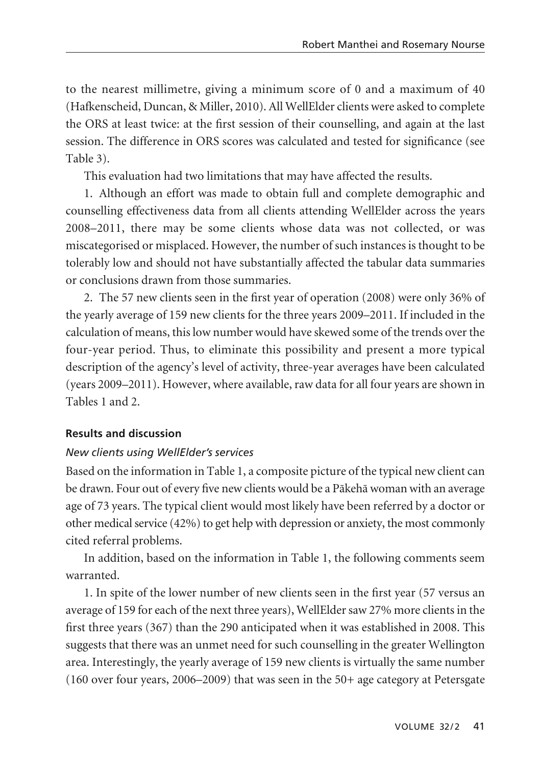to the nearest millimetre, giving a minimum score of 0 and a maximum of 40 (Hafkenscheid, Duncan, & Miller, 2010). All WellElder clients were asked to complete the ORS at least twice: at the first session of their counselling, and again at the last session. The difference in ORS scores was calculated and tested for significance (see Table 3).

This evaluation had two limitations that may have affected the results.

1. Although an effort was made to obtain full and complete demographic and counselling effectiveness data from all clients attending WellElder across the years 2008–2011, there may be some clients whose data was not collected, or was miscategorised or misplaced. However, the number of such instances is thought to be tolerably low and should not have substantially affected the tabular data summaries or conclusions drawn from those summaries.

2. The 57 new clients seen in the first year of operation (2008) were only 36% of the yearly average of 159 new clients for the three years 2009–2011. If included in the calculation of means, this low number would have skewed some of the trends over the four-year period. Thus, to eliminate this possibility and present a more typical description of the agency's level of activity, three-year averages have been calculated (years 2009–2011). However, where available, raw data for all four years are shown in Tables 1 and 2.

# **Results and discussion**

# *New clients using WellElder's services*

Based on the information in Table 1, a composite picture of the typical new client can be drawn. Four out of every five new clients would be a Päkehä woman with an average age of 73 years. The typical client would most likely have been referred by a doctor or other medical service (42%) to get help with depression or anxiety, the most commonly cited referral problems.

In addition, based on the information in Table 1, the following comments seem warranted.

1. In spite of the lower number of new clients seen in the first year (57 versus an average of 159 for each of the next three years), WellElder saw 27% more clients in the first three years (367) than the 290 anticipated when it was established in 2008. This suggests that there was an unmet need for such counselling in the greater Wellington area. Interestingly, the yearly average of 159 new clients is virtually the same number (160 over four years, 2006–2009) that was seen in the 50+ age category at Petersgate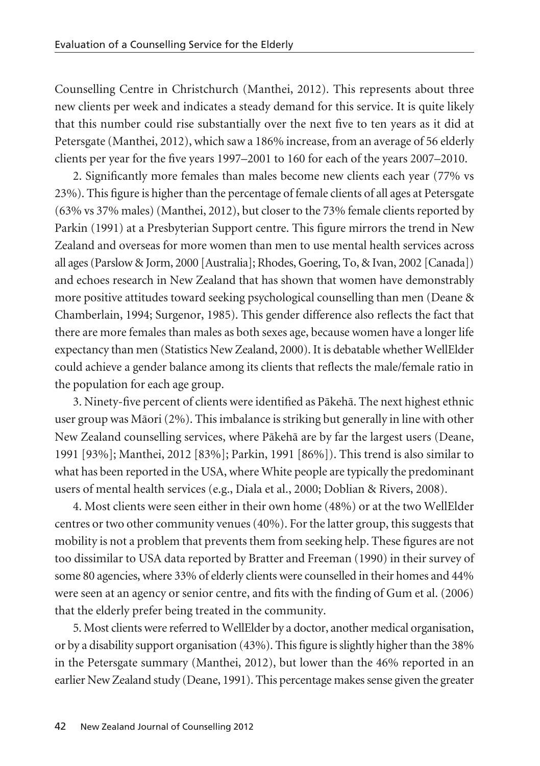Counselling Centre in Christchurch (Manthei, 2012). This represents about three new clients per week and indicates a steady demand for this service. It is quite likely that this number could rise substantially over the next five to ten years as it did at Petersgate (Manthei, 2012), which saw a 186% increase, from an average of 56 elderly clients per year for the five years 1997–2001 to 160 for each of the years 2007–2010.

2. Significantly more females than males become new clients each year (77% vs 23%). This figure is higher than the percentage of female clients of all ages at Petersgate (63% vs 37% males) (Manthei, 2012), but closer to the 73% female clients reported by Parkin (1991) at a Presbyterian Support centre. This figure mirrors the trend in New Zealand and overseas for more women than men to use mental health services across all ages (Parslow & Jorm, 2000 [Australia]; Rhodes, Goering, To, & Ivan, 2002 [Canada]) and echoes research in New Zealand that has shown that women have demonstrably more positive attitudes toward seeking psychological counselling than men (Deane & Chamberlain, 1994; Surgenor, 1985). This gender difference also reflects the fact that there are more females than males as both sexes age, because women have a longer life expectancy than men (Statistics New Zealand, 2000). It is debatable whether WellElder could achieve a gender balance among its clients that reflects the male/female ratio in the population for each age group.

3. Ninety-five percent of clients were identified as Päkehä. The next highest ethnic user group was Mäori (2%). This imbalance is striking but generally in line with other New Zealand counselling services, where Päkehä are by far the largest users (Deane, 1991 [93%]; Manthei, 2012 [83%]; Parkin, 1991 [86%]). This trend is also similar to what has been reported in the USA, where White people are typically the predominant users of mental health services (e.g., Diala et al., 2000; Doblian & Rivers, 2008).

4. Most clients were seen either in their own home (48%) or at the two WellElder centres or two other community venues (40%). For the latter group, this suggests that mobility is not a problem that prevents them from seeking help. These figures are not too dissimilar to USA data reported by Bratter and Freeman (1990) in their survey of some 80 agencies, where 33% of elderly clients were counselled in their homes and 44% were seen at an agency or senior centre, and fits with the finding of Gum et al. (2006) that the elderly prefer being treated in the community.

5. Most clients were referred to WellElder by a doctor, another medical organisation, or by a disability support organisation (43%). This figure is slightly higher than the 38% in the Petersgate summary (Manthei, 2012), but lower than the 46% reported in an earlier New Zealand study (Deane, 1991). This percentage makes sense given the greater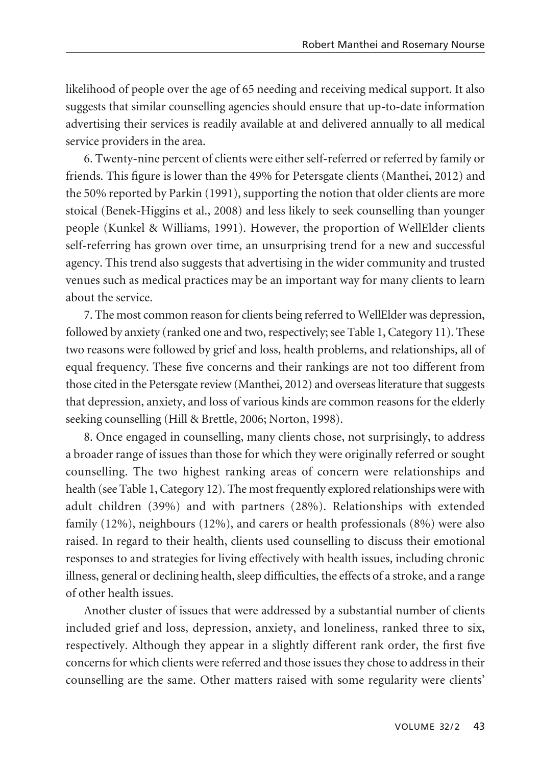likelihood of people over the age of 65 needing and receiving medical support. It also suggests that similar counselling agencies should ensure that up-to-date information advertising their services is readily available at and delivered annually to all medical service providers in the area.

6. Twenty-nine percent of clients were either self-referred or referred by family or friends. This figure is lower than the 49% for Petersgate clients (Manthei, 2012) and the 50% reported by Parkin (1991), supporting the notion that older clients are more stoical (Benek-Higgins et al., 2008) and less likely to seek counselling than younger people (Kunkel & Williams, 1991). However, the proportion of WellElder clients self-referring has grown over time, an unsurprising trend for a new and successful agency. This trend also suggests that advertising in the wider community and trusted venues such as medical practices may be an important way for many clients to learn about the service.

7. The most common reason for clients being referred to WellElder was depression, followed by anxiety (ranked one and two, respectively; see Table 1, Category 11). These two reasons were followed by grief and loss, health problems, and relationships, all of equal frequency. These five concerns and their rankings are not too different from those cited in the Petersgate review (Manthei, 2012) and overseas literature that suggests that depression, anxiety, and loss of various kinds are common reasons for the elderly seeking counselling (Hill & Brettle, 2006; Norton, 1998).

8. Once engaged in counselling, many clients chose, not surprisingly, to address a broader range of issues than those for which they were originally referred or sought counselling. The two highest ranking areas of concern were relationships and health (see Table 1, Category 12). The most frequently explored relationships were with adult children (39%) and with partners (28%). Relationships with extended family (12%), neighbours (12%), and carers or health professionals (8%) were also raised. In regard to their health, clients used counselling to discuss their emotional responses to and strategies for living effectively with health issues, including chronic illness, general or declining health, sleep difficulties, the effects of a stroke, and a range of other health issues.

Another cluster of issues that were addressed by a substantial number of clients included grief and loss, depression, anxiety, and loneliness, ranked three to six, respectively. Although they appear in a slightly different rank order, the first five concerns for which clients were referred and those issues they chose to address in their counselling are the same. Other matters raised with some regularity were clients'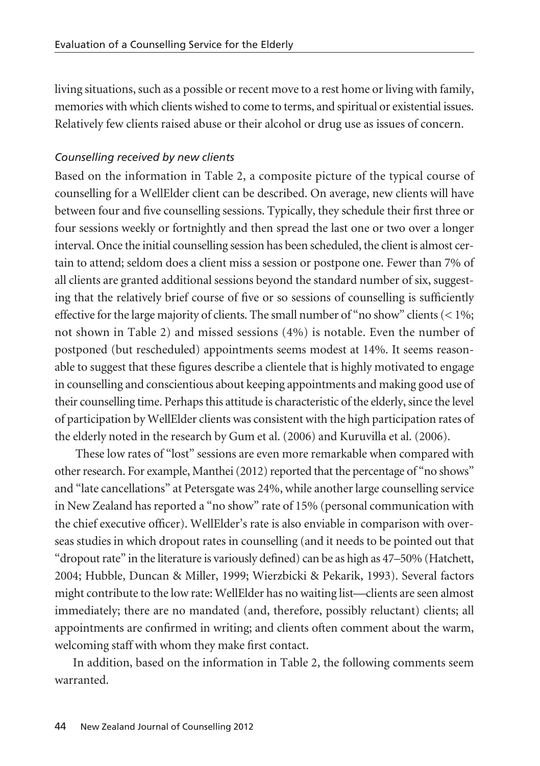living situations, such as a possible or recent move to a rest home or living with family, memories with which clients wished to come to terms, and spiritual or existential issues. Relatively few clients raised abuse or their alcohol or drug use as issues of concern.

#### *Counselling received by new clients*

Based on the information in Table 2, a composite picture of the typical course of counselling for a WellElder client can be described. On average, new clients will have between four and five counselling sessions. Typically, they schedule their first three or four sessions weekly or fortnightly and then spread the last one or two over a longer interval. Once the initial counselling session has been scheduled, the client is almost certain to attend; seldom does a client miss a session or postpone one. Fewer than 7% of all clients are granted additional sessions beyond the standard number of six, suggesting that the relatively brief course of five or so sessions of counselling is sufficiently effective for the large majority of clients. The small number of "no show" clients  $(< 1\%$ ; not shown in Table 2) and missed sessions (4%) is notable. Even the number of postponed (but rescheduled) appointments seems modest at 14%. It seems reasonable to suggest that these figures describe a clientele that is highly motivated to engage in counselling and conscientious about keeping appointments and making good use of their counselling time. Perhaps this attitude is characteristic of the elderly, since the level of participation by WellElder clients was consistent with the high participation rates of the elderly noted in the research by Gum et al. (2006) and Kuruvilla et al. (2006).

These low rates of "lost" sessions are even more remarkable when compared with other research. For example, Manthei (2012) reported that the percentage of "no shows" and "late cancellations" at Petersgate was 24%, while another large counselling service in New Zealand has reported a "no show" rate of 15% (personal communication with the chief executive officer). WellElder's rate is also enviable in comparison with overseas studies in which dropout rates in counselling (and it needs to be pointed out that "dropout rate" in the literature is variously defined) can be as high as 47–50% (Hatchett, 2004; Hubble, Duncan & Miller, 1999; Wierzbicki & Pekarik, 1993). Several factors might contribute to the low rate: WellElder has no waiting list—clients are seen almost immediately; there are no mandated (and, therefore, possibly reluctant) clients; all appointments are confirmed in writing; and clients often comment about the warm, welcoming staff with whom they make first contact.

In addition, based on the information in Table 2, the following comments seem warranted.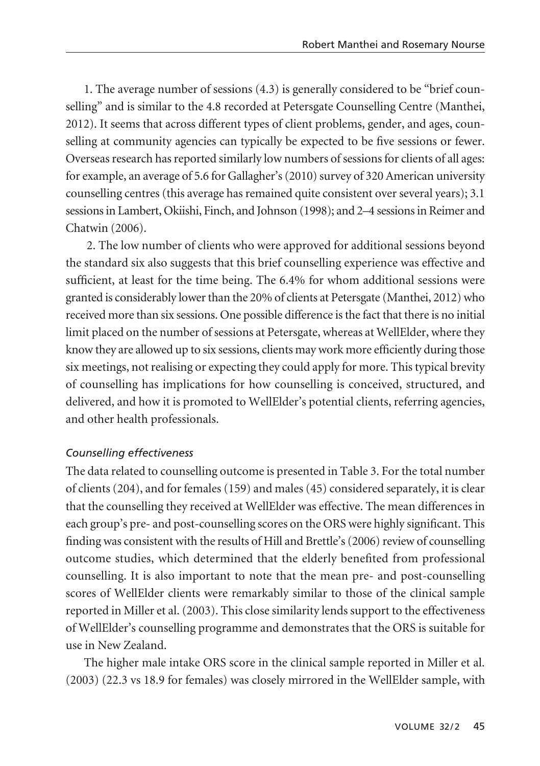1. The average number of sessions (4.3) is generally considered to be "brief counselling" and is similar to the 4.8 recorded at Petersgate Counselling Centre (Manthei, 2012). It seems that across different types of client problems, gender, and ages, counselling at community agencies can typically be expected to be five sessions or fewer. Overseas research has reported similarly low numbers of sessions for clients of all ages: for example, an average of 5.6 for Gallagher's (2010) survey of 320 American university counselling centres (this average has remained quite consistent over several years); 3.1 sessions in Lambert, Okiishi, Finch, and Johnson (1998); and 2–4 sessions in Reimer and Chatwin (2006).

2. The low number of clients who were approved for additional sessions beyond the standard six also suggests that this brief counselling experience was effective and sufficient, at least for the time being. The 6.4% for whom additional sessions were granted is considerably lower than the 20% of clients at Petersgate (Manthei, 2012) who received more than six sessions. One possible difference is the fact that there is no initial limit placed on the number of sessions at Petersgate, whereas at WellElder, where they know they are allowed up to six sessions, clients may work more efficiently during those six meetings, not realising or expecting they could apply for more. This typical brevity of counselling has implications for how counselling is conceived, structured, and delivered, and how it is promoted to WellElder's potential clients, referring agencies, and other health professionals.

#### *Counselling effectiveness*

The data related to counselling outcome is presented in Table 3. For the total number of clients (204), and for females (159) and males (45) considered separately, it is clear that the counselling they received at WellElder was effective. The mean differences in each group's pre- and post-counselling scores on the ORS were highly significant. This finding was consistent with the results of Hill and Brettle's (2006) review of counselling outcome studies, which determined that the elderly benefited from professional counselling. It is also important to note that the mean pre- and post-counselling scores of WellElder clients were remarkably similar to those of the clinical sample reported in Miller et al. (2003). This close similarity lends support to the effectiveness of WellElder's counselling programme and demonstrates that the ORS is suitable for use in New Zealand.

The higher male intake ORS score in the clinical sample reported in Miller et al. (2003) (22.3 vs 18.9 for females) was closely mirrored in the WellElder sample, with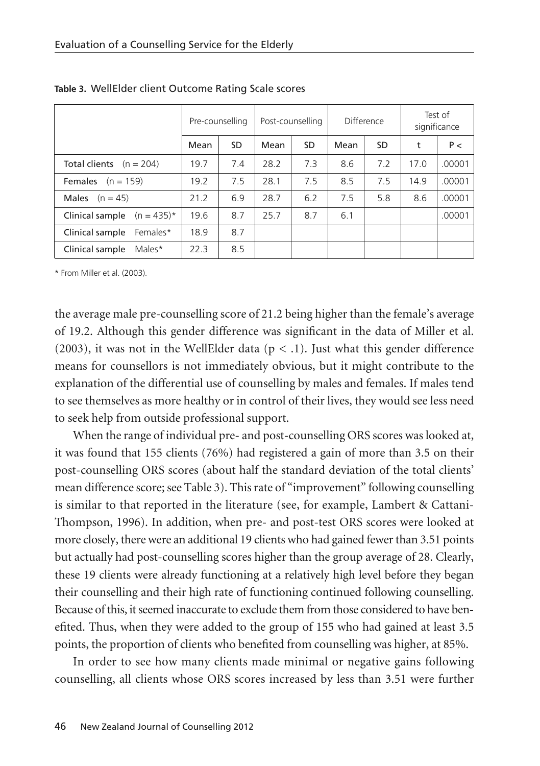|                               | Pre-counselling |     | Post-counselling |     | Difference |     | Test of<br>significance |        |
|-------------------------------|-----------------|-----|------------------|-----|------------|-----|-------------------------|--------|
|                               | Mean            | SD  | Mean             | SD. | Mean       | SD  | t                       | P<     |
| Total clients $(n = 204)$     | 19.7            | 7.4 | 28.2             | 7.3 | 8.6        | 7.2 | 17.0                    | .00001 |
| <b>Females</b> $(n = 159)$    | 19.2            | 7.5 | 28.1             | 7.5 | 8.5        | 75  | 14.9                    | .00001 |
| Males<br>$(n = 45)$           | 21.2            | 6.9 | 28.7             | 6.2 | 7.5        | 5.8 | 8.6                     | .00001 |
| Clinical sample $(n = 435)^*$ | 19.6            | 8.7 | 25.7             | 8.7 | 6.1        |     |                         | .00001 |
| Females*<br>Clinical sample   | 18.9            | 8.7 |                  |     |            |     |                         |        |
| Males*<br>Clinical sample     | 22.3            | 8.5 |                  |     |            |     |                         |        |

**Table 3.** WellElder client Outcome Rating Scale scores

\* From Miller et al. (2003).

the average male pre-counselling score of 21.2 being higher than the female's average of 19.2. Although this gender difference was significant in the data of Miller et al. (2003), it was not in the WellElder data ( $p < 0.1$ ). Just what this gender difference means for counsellors is not immediately obvious, but it might contribute to the explanation of the differential use of counselling by males and females. If males tend to see themselves as more healthy or in control of their lives, they would see less need to seek help from outside professional support.

When the range of individual pre- and post-counselling ORS scores was looked at, it was found that 155 clients (76%) had registered a gain of more than 3.5 on their post-counselling ORS scores (about half the standard deviation of the total clients' mean difference score; see Table 3). This rate of "improvement" following counselling is similar to that reported in the literature (see, for example, Lambert & Cattani-Thompson, 1996). In addition, when pre- and post-test ORS scores were looked at more closely, there were an additional 19 clients who had gained fewer than 3.51 points but actually had post-counselling scores higher than the group average of 28. Clearly, these 19 clients were already functioning at a relatively high level before they began their counselling and their high rate of functioning continued following counselling. Because of this, it seemed inaccurate to exclude them from those considered to have benefited. Thus, when they were added to the group of 155 who had gained at least 3.5 points, the proportion of clients who benefited from counselling was higher, at 85%.

In order to see how many clients made minimal or negative gains following counselling, all clients whose ORS scores increased by less than 3.51 were further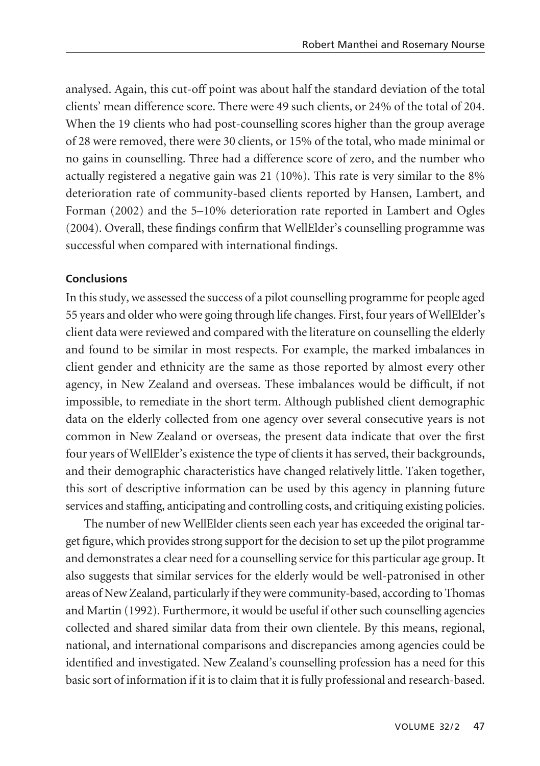analysed. Again, this cut-off point was about half the standard deviation of the total clients' mean difference score. There were 49 such clients, or 24% of the total of 204. When the 19 clients who had post-counselling scores higher than the group average of 28 were removed, there were 30 clients, or 15% of the total, who made minimal or no gains in counselling. Three had a difference score of zero, and the number who actually registered a negative gain was 21 (10%). This rate is very similar to the 8% deterioration rate of community-based clients reported by Hansen, Lambert, and Forman (2002) and the 5–10% deterioration rate reported in Lambert and Ogles (2004). Overall, these findings confirm that WellElder's counselling programme was successful when compared with international findings.

#### **Conclusions**

In this study, we assessed the success of a pilot counselling programme for people aged 55 years and older who were going through life changes. First, four years of WellElder's client data were reviewed and compared with the literature on counselling the elderly and found to be similar in most respects. For example, the marked imbalances in client gender and ethnicity are the same as those reported by almost every other agency, in New Zealand and overseas. These imbalances would be difficult, if not impossible, to remediate in the short term. Although published client demographic data on the elderly collected from one agency over several consecutive years is not common in New Zealand or overseas, the present data indicate that over the first four years of WellElder's existence the type of clients it has served, their backgrounds, and their demographic characteristics have changed relatively little. Taken together, this sort of descriptive information can be used by this agency in planning future services and staffing, anticipating and controlling costs, and critiquing existing policies.

The number of new WellElder clients seen each year has exceeded the original target figure, which provides strong support for the decision to set up the pilot programme and demonstrates a clear need for a counselling service for this particular age group. It also suggests that similar services for the elderly would be well-patronised in other areas of New Zealand, particularly if they were community-based, according to Thomas and Martin (1992). Furthermore, it would be useful if other such counselling agencies collected and shared similar data from their own clientele. By this means, regional, national, and international comparisons and discrepancies among agencies could be identified and investigated. New Zealand's counselling profession has a need for this basic sort of information if it is to claim that it is fully professional and research-based.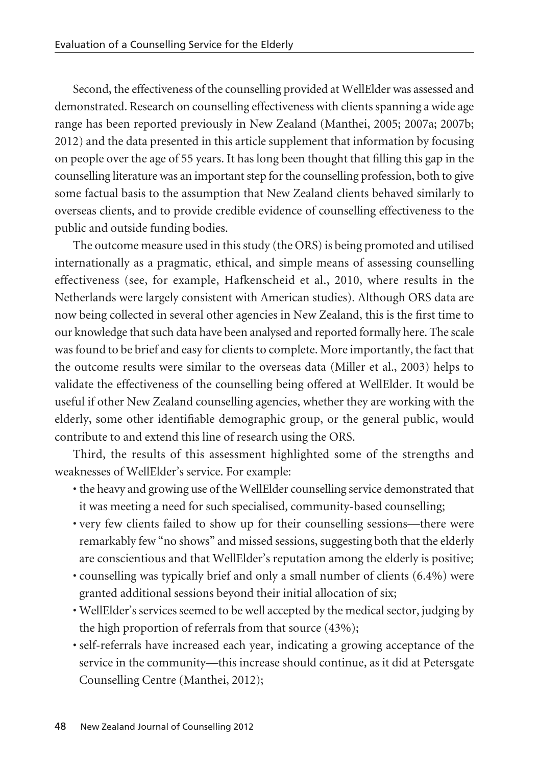Second, the effectiveness of the counselling provided at WellElder was assessed and demonstrated. Research on counselling effectiveness with clients spanning a wide age range has been reported previously in New Zealand (Manthei, 2005; 2007a; 2007b; 2012) and the data presented in this article supplement that information by focusing on people over the age of 55 years. It has long been thought that filling this gap in the counselling literature was an important step for the counselling profession, both to give some factual basis to the assumption that New Zealand clients behaved similarly to overseas clients, and to provide credible evidence of counselling effectiveness to the public and outside funding bodies.

The outcome measure used in this study (the ORS) is being promoted and utilised internationally as a pragmatic, ethical, and simple means of assessing counselling effectiveness (see, for example, Hafkenscheid et al., 2010, where results in the Netherlands were largely consistent with American studies). Although ORS data are now being collected in several other agencies in New Zealand, this is the first time to our knowledge that such data have been analysed and reported formally here. The scale was found to be brief and easy for clients to complete. More importantly, the fact that the outcome results were similar to the overseas data (Miller et al., 2003) helps to validate the effectiveness of the counselling being offered at WellElder. It would be useful if other New Zealand counselling agencies, whether they are working with the elderly, some other identifiable demographic group, or the general public, would contribute to and extend this line of research using the ORS.

Third, the results of this assessment highlighted some of the strengths and weaknesses of WellElder's service. For example:

- the heavy and growing use of the WellElder counselling service demonstrated that it was meeting a need for such specialised, community-based counselling;
- very few clients failed to show up for their counselling sessions—there were remarkably few "no shows" and missed sessions, suggesting both that the elderly are conscientious and that WellElder's reputation among the elderly is positive;
- counselling was typically brief and only a small number of clients (6.4%) were granted additional sessions beyond their initial allocation of six;
- WellElder's services seemed to be well accepted by the medical sector, judging by the high proportion of referrals from that source (43%);
- self-referrals have increased each year, indicating a growing acceptance of the service in the community—this increase should continue, as it did at Petersgate Counselling Centre (Manthei, 2012);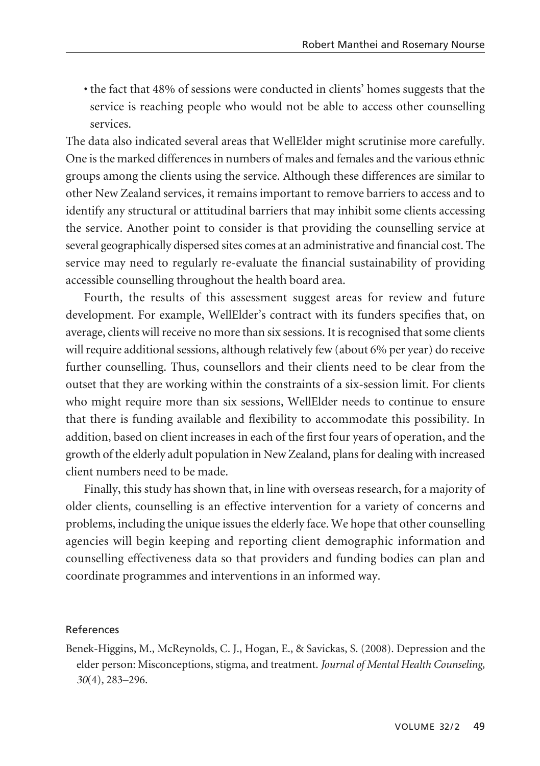• the fact that 48% of sessions were conducted in clients' homes suggests that the service is reaching people who would not be able to access other counselling services.

The data also indicated several areas that WellElder might scrutinise more carefully. One is the marked differences in numbers of males and females and the various ethnic groups among the clients using the service. Although these differences are similar to other New Zealand services, it remains important to remove barriers to access and to identify any structural or attitudinal barriers that may inhibit some clients accessing the service. Another point to consider is that providing the counselling service at several geographically dispersed sites comes at an administrative and financial cost. The service may need to regularly re-evaluate the financial sustainability of providing accessible counselling throughout the health board area.

Fourth, the results of this assessment suggest areas for review and future development. For example, WellElder's contract with its funders specifies that, on average, clients will receive no more than six sessions. It is recognised that some clients will require additional sessions, although relatively few (about 6% per year) do receive further counselling. Thus, counsellors and their clients need to be clear from the outset that they are working within the constraints of a six-session limit. For clients who might require more than six sessions, WellElder needs to continue to ensure that there is funding available and flexibility to accommodate this possibility. In addition, based on client increases in each of the first four years of operation, and the growth of the elderly adult population in New Zealand, plans for dealing with increased client numbers need to be made.

Finally, this study has shown that, in line with overseas research, for a majority of older clients, counselling is an effective intervention for a variety of concerns and problems, including the unique issues the elderly face. We hope that other counselling agencies will begin keeping and reporting client demographic information and counselling effectiveness data so that providers and funding bodies can plan and coordinate programmes and interventions in an informed way.

#### References

Benek-Higgins, M., McReynolds, C. J., Hogan, E., & Savickas, S. (2008). Depression and the elder person: Misconceptions, stigma, and treatment. *Journal of Mental Health Counseling, 30*(4), 283–296.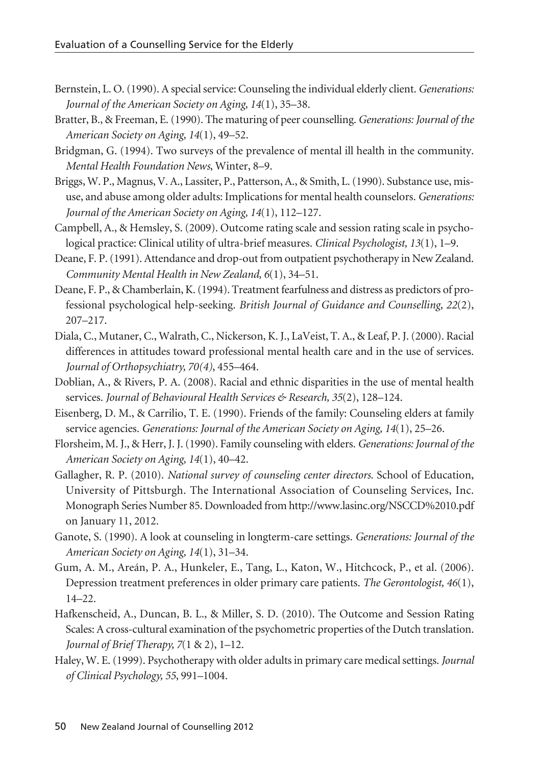- Bernstein, L. O. (1990). A special service: Counseling the individual elderly client. *Generations: Journal of the American Society on Aging, 14*(1), 35–38.
- Bratter, B., & Freeman, E. (1990). The maturing of peer counselling. *Generations: Journal of the American Society on Aging, 14*(1), 49–52.
- Bridgman, G. (1994). Two surveys of the prevalence of mental ill health in the community. *Mental Health Foundation News*, Winter, 8–9.
- Briggs, W. P., Magnus, V. A., Lassiter, P., Patterson, A., & Smith, L. (1990). Substance use, misuse, and abuse among older adults: Implications for mental health counselors. *Generations: Journal of the American Society on Aging, 14*(1), 112–127.
- Campbell, A., & Hemsley, S. (2009). Outcome rating scale and session rating scale in psychological practice: Clinical utility of ultra-brief measures. *Clinical Psychologist, 13*(1), 1–9.
- Deane, F. P. (1991). Attendance and drop-out from outpatient psychotherapy in New Zealand. *Community Mental Health in New Zealand, 6*(1), 34–51.
- Deane, F. P., & Chamberlain, K. (1994). Treatment fearfulness and distress as predictors of professional psychological help-seeking. *British Journal of Guidance and Counselling, 22*(2), 207–217.
- Diala, C., Mutaner, C., Walrath, C., Nickerson, K. J., LaVeist, T. A., & Leaf, P. J. (2000). Racial differences in attitudes toward professional mental health care and in the use of services. *Journal of Orthopsychiatry, 70(4)*, 455–464.
- Doblian, A., & Rivers, P. A. (2008). Racial and ethnic disparities in the use of mental health services. *Journal of Behavioural Health Services & Research, 35*(2), 128–124.
- Eisenberg, D. M., & Carrilio, T. E. (1990). Friends of the family: Counseling elders at family service agencies. *Generations: Journal of the American Society on Aging, 14*(1), 25–26.
- Florsheim, M. J., & Herr, J. J. (1990). Family counseling with elders. *Generations: Journal of the American Society on Aging, 14*(1), 40–42.
- Gallagher, R. P. (2010). *National survey of counseling center directors*. School of Education, University of Pittsburgh. The International Association of Counseling Services, Inc. Monograph Series Number 85. Downloaded from http://www.lasinc.org/NSCCD%2010.pdf on January 11, 2012.
- Ganote, S. (1990). A look at counseling in longterm-care settings. *Generations: Journal of the American Society on Aging, 14*(1), 31–34.
- Gum, A. M., Areán, P. A., Hunkeler, E., Tang, L., Katon, W., Hitchcock, P., et al. (2006). Depression treatment preferences in older primary care patients. *The Gerontologist, 46*(1), 14–22.
- Hafkenscheid, A., Duncan, B. L., & Miller, S. D. (2010). The Outcome and Session Rating Scales: A cross-cultural examination of the psychometric properties of the Dutch translation. *Journal of Brief Therapy, 7*(1 & 2), 1–12.
- Haley, W. E. (1999). Psychotherapy with older adults in primary care medical settings. *Journal of Clinical Psychology, 55*, 991–1004.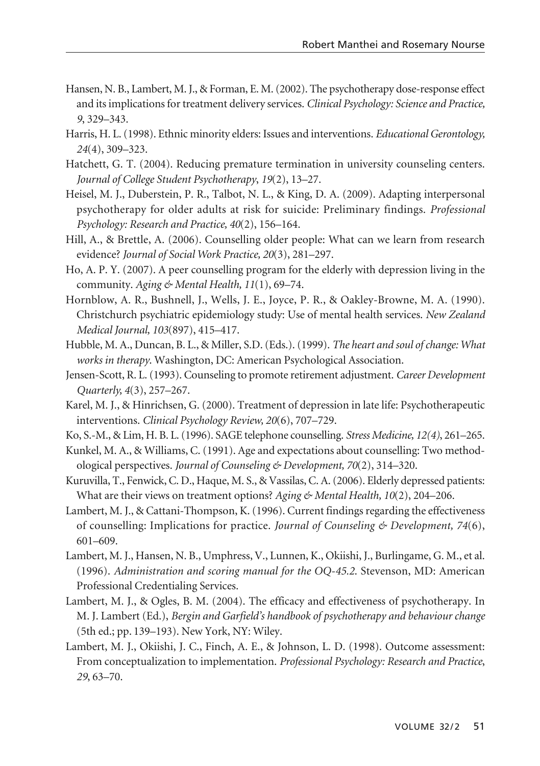- Hansen, N. B., Lambert, M. J., & Forman, E. M. (2002). The psychotherapy dose-response effect and its implications for treatment delivery services. *Clinical Psychology: Science and Practice, 9*, 329–343.
- Harris, H. L. (1998). Ethnic minority elders: Issues and interventions. *Educational Gerontology, 24*(4), 309–323.
- Hatchett, G. T. (2004). Reducing premature termination in university counseling centers. *Journal of College Student Psychotherapy*, *19*(2), 13–27.
- Heisel, M. J., Duberstein, P. R., Talbot, N. L., & King, D. A. (2009). Adapting interpersonal psychotherapy for older adults at risk for suicide: Preliminary findings. *Professional Psychology: Research and Practice, 40*(2), 156–164.
- Hill, A., & Brettle, A. (2006). Counselling older people: What can we learn from research evidence? *Journal of Social Work Practice, 20*(3), 281–297.
- Ho, A. P. Y. (2007). A peer counselling program for the elderly with depression living in the community. *Aging & Mental Health, 11*(1), 69–74.
- Hornblow, A. R., Bushnell, J., Wells, J. E., Joyce, P. R., & Oakley-Browne, M. A. (1990). Christchurch psychiatric epidemiology study: Use of mental health services. *New Zealand Medical Journal, 103*(897), 415–417.
- Hubble, M. A., Duncan, B. L., & Miller, S.D. (Eds.). (1999). *The heart and soul of change: What works in therapy*. Washington, DC: American Psychological Association.
- Jensen-Scott, R. L. (1993). Counseling to promote retirement adjustment. *Career Development Quarterly, 4*(3), 257–267.
- Karel, M. J., & Hinrichsen, G. (2000). Treatment of depression in late life: Psychotherapeutic interventions. *Clinical Psychology Review, 20*(6), 707–729.
- Ko, S.-M., & Lim, H. B. L. (1996). SAGE telephone counselling. *Stress Medicine, 12(4)*, 261–265.
- Kunkel, M. A., & Williams, C. (1991). Age and expectations about counselling: Two methodological perspectives. *Journal of Counseling & Development, 70*(2), 314–320.
- Kuruvilla, T., Fenwick, C. D., Haque, M. S., & Vassilas, C. A. (2006). Elderly depressed patients: What are their views on treatment options? *Aging & Mental Health, 10*(2), 204–206.
- Lambert, M. J., & Cattani-Thompson, K. (1996). Current findings regarding the effectiveness of counselling: Implications for practice. *Journal of Counseling & Development, 74*(6), 601–609.
- Lambert, M. J., Hansen, N. B., Umphress, V., Lunnen, K., Okiishi, J., Burlingame, G. M., et al. (1996). *Administration and scoring manual for the OQ-45.2*. Stevenson, MD: American Professional Credentialing Services.
- Lambert, M. J., & Ogles, B. M. (2004). The efficacy and effectiveness of psychotherapy. In M. J. Lambert (Ed.), *Bergin and Garfield's handbook of psychotherapy and behaviour change* (5th ed.; pp. 139–193). New York, NY: Wiley.
- Lambert, M. J., Okiishi, J. C., Finch, A. E., & Johnson, L. D. (1998). Outcome assessment: From conceptualization to implementation. *Professional Psychology: Research and Practice*, *29*, 63–70.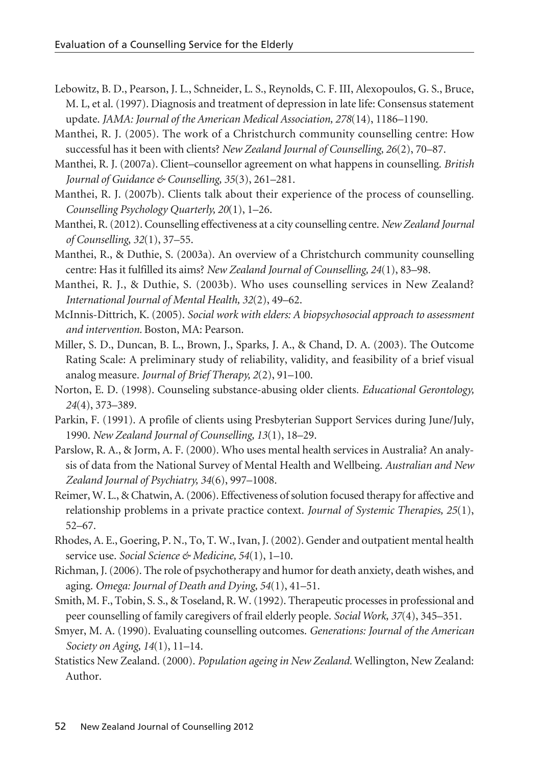- Lebowitz, B. D., Pearson, J. L., Schneider, L. S., Reynolds, C. F. III, Alexopoulos, G. S., Bruce, M. L, et al. (1997). Diagnosis and treatment of depression in late life: Consensus statement update. *JAMA: Journal of the American Medical Association, 278*(14), 1186–1190.
- Manthei, R. J. (2005). The work of a Christchurch community counselling centre: How successful has it been with clients? *New Zealand Journal of Counselling, 26*(2), 70–87.
- Manthei, R. J. (2007a). Client–counsellor agreement on what happens in counselling. *British Journal of Guidance & Counselling, 35*(3), 261–281.
- Manthei, R. J. (2007b). Clients talk about their experience of the process of counselling. *Counselling Psychology Quarterly, 20*(1), 1–26.
- Manthei, R. (2012). Counselling effectiveness at a city counselling centre. *New Zealand Journal of Counselling*, *32*(1), 37–55.
- Manthei, R., & Duthie, S. (2003a). An overview of a Christchurch community counselling centre: Has it fulfilled its aims? *New Zealand Journal of Counselling, 24*(1), 83–98.
- Manthei, R. J., & Duthie, S. (2003b). Who uses counselling services in New Zealand? *International Journal of Mental Health, 32*(2), 49–62.
- McInnis-Dittrich, K. (2005). *Social work with elders: A biopsychosocial approach to assessment and intervention.* Boston, MA: Pearson.
- Miller, S. D., Duncan, B. L., Brown, J., Sparks, J. A., & Chand, D. A. (2003). The Outcome Rating Scale: A preliminary study of reliability, validity, and feasibility of a brief visual analog measure. *Journal of Brief Therapy, 2*(2), 91–100.
- Norton, E. D. (1998). Counseling substance-abusing older clients*. Educational Gerontology, 24*(4), 373–389.
- Parkin, F. (1991). A profile of clients using Presbyterian Support Services during June/July, 1990. *New Zealand Journal of Counselling, 13*(1), 18–29.
- Parslow, R. A., & Jorm, A. F. (2000). Who uses mental health services in Australia? An analysis of data from the National Survey of Mental Health and Wellbeing. *Australian and New Zealand Journal of Psychiatry, 34*(6), 997–1008.
- Reimer, W. L., & Chatwin, A. (2006). Effectiveness of solution focused therapy for affective and relationship problems in a private practice context. *Journal of Systemic Therapies, 25*(1), 52–67.
- Rhodes, A. E., Goering, P. N., To, T. W., Ivan, J. (2002). Gender and outpatient mental health service use. *Social Science & Medicine, 54*(1), 1–10.
- Richman, J. (2006). The role of psychotherapy and humor for death anxiety, death wishes, and aging. *Omega: Journal of Death and Dying, 54*(1), 41–51.
- Smith, M. F., Tobin, S. S., & Toseland, R. W. (1992). Therapeutic processes in professional and peer counselling of family caregivers of frail elderly people. *Social Work, 37*(4), 345–351.
- Smyer, M. A. (1990). Evaluating counselling outcomes. *Generations: Journal of the American Society on Aging, 14*(1), 11–14.
- Statistics New Zealand. (2000). *Population ageing in New Zealand.* Wellington, New Zealand: Author.